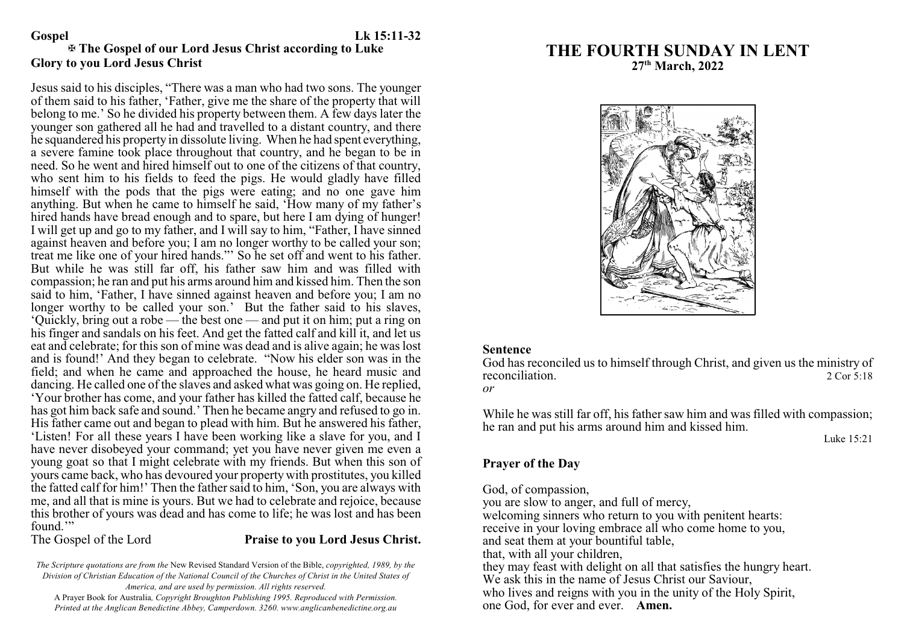#### **Gospel Lk 15:11-32** a **The Gospel of our Lord Jesus Christ according to Luke Glory to you Lord Jesus Christ**

Jesus said to his disciples, "There was a man who had two sons. The younger of them said to his father, 'Father, give me the share of the property that will belong to me.' So he divided his property between them. A few days later the younger son gathered all he had and travelled to a distant country, and there he squandered his property in dissolute living. When he had spent everything, a severe famine took place throughout that country, and he began to be in need. So he went and hired himself out to one of the citizens of that country, who sent him to his fields to feed the pigs. He would gladly have filled himself with the pods that the pigs were eating; and no one gave him anything. But when he came to himself he said, 'How many of my father's hired hands have bread enough and to spare, but here I am dying of hunger! I will get up and go to my father, and I will say to him, "Father, I have sinned against heaven and before you; I am no longer worthy to be called your son; treat me like one of your hired hands."' So he set off and went to his father. But while he was still far off, his father saw him and was filled with compassion; he ran and put his arms around him and kissed him. Then the son said to him, 'Father, I have sinned against heaven and before you; I am no longer worthy to be called your son.' But the father said to his slaves, 'Quickly, bring out a robe — the best one — and put it on him; put a ring on his finger and sandals on his feet. And get the fatted calf and kill it, and let us eat and celebrate; for this son of mine was dead and is alive again; he was lost and is found!' And they began to celebrate. "Now his elder son was in the field; and when he came and approached the house, he heard music and dancing. He called one of the slaves and asked what was going on. He replied, 'Your brother has come, and your father has killed the fatted calf, because he has got him back safe and sound.' Then he became angry and refused to go in. His father came out and began to plead with him. But he answered his father, 'Listen! For all these years I have been working like a slave for you, and I have never disobeyed your command; yet you have never given me even a young goat so that I might celebrate with my friends. But when this son of yours came back, who has devoured your propertywith prostitutes, you killed the fatted calf for him!' Then the father said to him, 'Son, you are always with me, and all that is mine is yours. But we had to celebrate and rejoice, because this brother of yours was dead and has come to life; he was lost and has been

found."<br>The Gospel of the Lord

### Praise to you Lord Jesus Christ.

*The Scripture quotations are from the* New Revised Standard Version of the Bible, *copyrighted, 1989, by the Division of Christian Education of the National Council of the Churches of Christ in the United States of America, and are used by permission. All rights reserved.*

A Prayer Book for Australia*, Copyright Broughton Publishing 1995. Reproduced with Permission. Printed at the Anglican Benedictine Abbey, Camperdown. 3260. www.anglicanbenedictine.org.au*

# **THE FOURTH SUNDAY IN LENT 27th March, 2022**



#### **Sentence**

God has reconciled us to himself through Christ, and given us the ministry of reconciliation. 2 Cor 5:18 *or*

While he was still far off, his father saw him and was filled with compassion; he ran and put his arms around him and kissed him.

Luke 15:21

# **Prayer of the Day**

God, of compassion,

you are slow to anger, and full of mercy,

welcoming sinners who return to you with penitent hearts:

receive in your loving embrace all who come home to you,

and seat them at your bountiful table, that, with all your children,

they may feast with delight on all that satisfies the hungry heart.

We ask this in the name of Jesus Christ our Saviour,

who lives and reigns with you in the unity of the Holy Spirit, one God, for ever and ever. **Amen.**